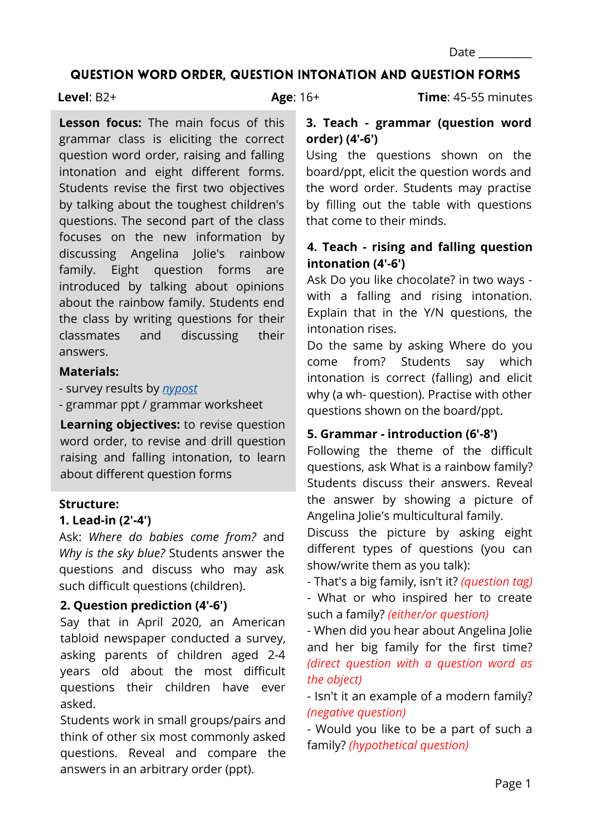#### QUESTION WORD ORDER, QUESTION INTONATION AND QUESTION FORMS

#### **Level**: B2+

**Age**: 16+ **Time**: 45-55 minutes

# **Lesson focus:** The main focus of this grammar class is eliciting the correct question word order, raising and falling intonation and eight different forms. Students revise the first two objectives by talking about the toughest children's questions. The second part of the class focuses on the new information by discussing Angelina Jolie's rainbow family. Eight question forms are introduced by talking about opinions about the rainbow family. Students end the class by writing questions for their classmates and discussing their answers.

### **Materials:**

- survey results by *[nypost](https://nypost.com/2020/04/22/kids-ask-the-darndest-things-the-toughest-questions-parents-hear-from-their-children/)*

*-* grammar ppt / grammar worksheet

**Learning objectives:** to revise question word order, to revise and drill question raising and falling intonation, to learn about different question forms

### **Structure:**

### **1. Lead-in (2'-4')**

Ask: *Where do babies come from?* and *Why is the sky blue?* Students answer the questions and discuss who may ask such difficult questions (children).

## **2. Question prediction (4'-6')**

Say that in April 2020, an American tabloid newspaper conducted a survey, asking parents of children aged 2-4 years old about the most difficult questions their children have ever asked.

Students work in small groups/pairs and think of other six most commonly asked questions. Reveal and compare the answers in an arbitrary order (ppt).

**3. Teach - grammar (question word order) (4'-6')**

Using the questions shown on the board/ppt, elicit the question words and the word order. Students may practise by filling out the table with questions that come to their minds.

## **4. Teach - rising and falling question intonation (4'-6')**

Ask Do you like chocolate? in two ways with a falling and rising intonation. Explain that in the Y/N questions, the intonation rises.

Do the same by asking Where do you come from? Students say which intonation is correct (falling) and elicit why (a wh- question). Practise with other questions shown on the board/ppt.

## **5. Grammar - introduction (6'-8')**

Following the theme of the difficult questions, ask What is a rainbow family? Students discuss their answers. Reveal the answer by showing a picture of Angelina Jolie's multicultural family.

Discuss the picture by asking eight different types of questions (you can show/write them as you talk):

- That's a big family, isn't it? *(question tag)*

- What or who inspired her to create such a family? *(either/or question)*

- When did you hear about Angelina Jolie and her big family for the first time? *(direct question with a question word as the object)*

- Isn't it an example of a modern family? *(negative question)*

- Would you like to be a part of such a family? *(hypothetical question)*